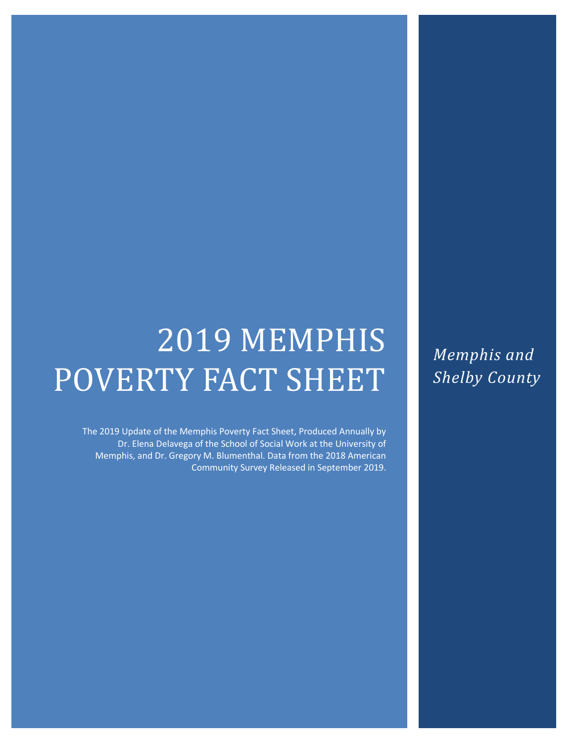# 2019 MEMPHIS POVERTY FACT SHEET

The 2019 Update of the Memphis Poverty Fact Sheet, Produced Annually by Dr. Elena Delavega of the School of Social Work at the University of Memphis, and Dr. Gregory M. Blumenthal. Data from the 2018 American Community Survey Released in September 2019. *Memphis and Shelby County*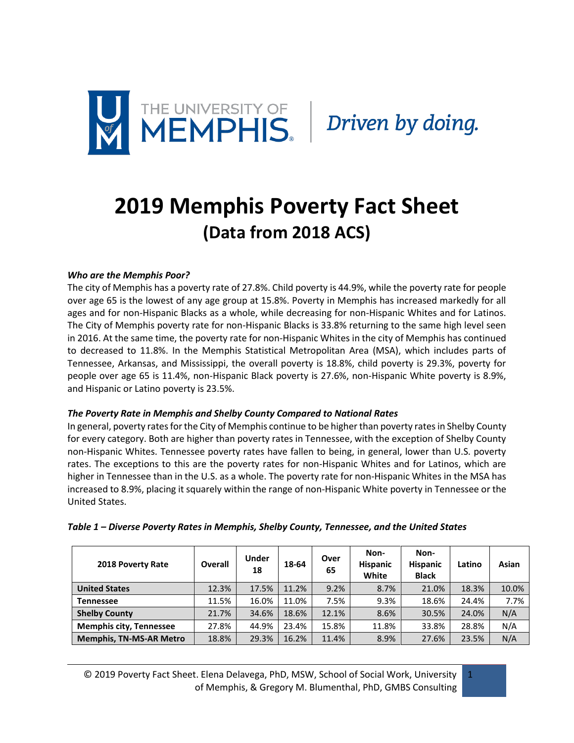

## **2019 Memphis Poverty Fact Sheet (Data from 2018 ACS)**

#### *Who are the Memphis Poor?*

The city of Memphis has a poverty rate of 27.8%. Child poverty is 44.9%, while the poverty rate for people over age 65 is the lowest of any age group at 15.8%. Poverty in Memphis has increased markedly for all ages and for non-Hispanic Blacks as a whole, while decreasing for non-Hispanic Whites and for Latinos. The City of Memphis poverty rate for non-Hispanic Blacks is 33.8% returning to the same high level seen in 2016. At the same time, the poverty rate for non-Hispanic Whites in the city of Memphis has continued to decreased to 11.8%. In the Memphis Statistical Metropolitan Area (MSA), which includes parts of Tennessee, Arkansas, and Mississippi, the overall poverty is 18.8%, child poverty is 29.3%, poverty for people over age 65 is 11.4%, non-Hispanic Black poverty is 27.6%, non-Hispanic White poverty is 8.9%, and Hispanic or Latino poverty is 23.5%.

#### *The Poverty Rate in Memphis and Shelby County Compared to National Rates*

In general, poverty rates for the City of Memphis continue to be higher than poverty rates in Shelby County for every category. Both are higher than poverty rates in Tennessee, with the exception of Shelby County non-Hispanic Whites. Tennessee poverty rates have fallen to being, in general, lower than U.S. poverty rates. The exceptions to this are the poverty rates for non-Hispanic Whites and for Latinos, which are higher in Tennessee than in the U.S. as a whole. The poverty rate for non-Hispanic Whites in the MSA has increased to 8.9%, placing it squarely within the range of non-Hispanic White poverty in Tennessee or the United States.

| 2018 Poverty Rate              | Overall | <b>Under</b><br>18 | 18-64 | Over<br>65 | Non-<br><b>Hispanic</b><br>White | Non-<br><b>Hispanic</b><br><b>Black</b> | Latino | Asian |
|--------------------------------|---------|--------------------|-------|------------|----------------------------------|-----------------------------------------|--------|-------|
| <b>United States</b>           | 12.3%   | 17.5%              | 11.2% | 9.2%       | 8.7%                             | 21.0%                                   | 18.3%  | 10.0% |
| Tennessee                      | 11.5%   | 16.0%              | 11.0% | 7.5%       | 9.3%                             | 18.6%                                   | 24.4%  | 7.7%  |
| <b>Shelby County</b>           | 21.7%   | 34.6%              | 18.6% | 12.1%      | 8.6%                             | 30.5%                                   | 24.0%  | N/A   |
| <b>Memphis city, Tennessee</b> | 27.8%   | 44.9%              | 23.4% | 15.8%      | 11.8%                            | 33.8%                                   | 28.8%  | N/A   |
| <b>Memphis, TN-MS-AR Metro</b> | 18.8%   | 29.3%              | 16.2% | 11.4%      | 8.9%                             | 27.6%                                   | 23.5%  | N/A   |

#### *Table 1 – Diverse Poverty Rates in Memphis, Shelby County, Tennessee, and the United States*

© 2019 Poverty Fact Sheet. Elena Delavega, PhD, MSW, School of Social Work, University of Memphis, & Gregory M. Blumenthal, PhD, GMBS Consulting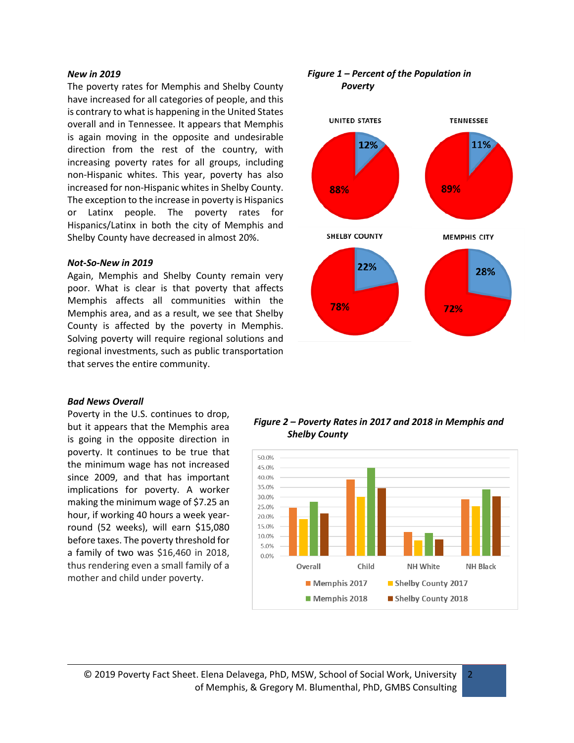#### *New in 2019*

The poverty rates for Memphis and Shelby County have increased for all categories of people, and this is contrary to what is happening in the United States overall and in Tennessee. It appears that Memphis is again moving in the opposite and undesirable direction from the rest of the country, with increasing poverty rates for all groups, including non-Hispanic whites. This year, poverty has also increased for non-Hispanic whites in Shelby County. The exception to the increase in poverty is Hispanics or Latinx people. The poverty rates for Hispanics/Latinx in both the city of Memphis and Shelby County have decreased in almost 20%.

#### *Not-So-New in 2019*

Again, Memphis and Shelby County remain very poor. What is clear is that poverty that affects Memphis affects all communities within the Memphis area, and as a result, we see that Shelby County is affected by the poverty in Memphis. Solving poverty will require regional solutions and regional investments, such as public transportation that serves the entire community.

#### *Bad News Overall*

Poverty in the U.S. continues to drop, but it appears that the Memphis area is going in the opposite direction in poverty. It continues to be true that the minimum wage has not increased since 2009, and that has important implications for poverty. A worker making the minimum wage of \$7.25 an hour, if working 40 hours a week yearround (52 weeks), will earn \$15,080 before taxes. The poverty threshold for a family of two was \$16,460 in 2018, thus rendering even a small family of a mother and child under poverty.



*Figure 1 – Percent of the Population in* 

*Figure 2 – Poverty Rates in 2017 and 2018 in Memphis and Shelby County*

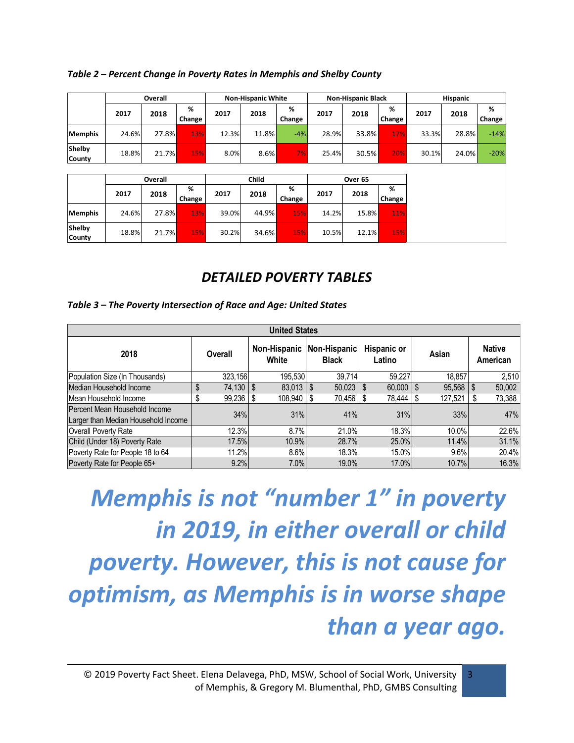| Overall                 |       |       |             | <b>Non-Hispanic White</b> |       |             | <b>Non-Hispanic Black</b> |       |             | <b>Hispanic</b> |       |             |
|-------------------------|-------|-------|-------------|---------------------------|-------|-------------|---------------------------|-------|-------------|-----------------|-------|-------------|
|                         | 2017  | 2018  | %<br>Change | 2017                      | 2018  | %<br>Change | 2017                      | 2018  | %<br>Change | 2017            | 2018  | %<br>Change |
| <b>Memphis</b>          | 24.6% | 27.8% | 13%         | 12.3%                     | 11.8% | $-4%$       | 28.9%                     | 33.8% | 17%         | 33.3%           | 28.8% | $-14%$      |
| Shelby<br><b>County</b> | 18.8% | 21.7% | 15%         | 8.0%                      | 8.6%  | 7%          | 25.4%                     | 30.5% | 20%         | 30.1%           | 24.0% | $-20%$      |

|                  |       | Overall |             |       | Child |             |       | Over <sub>65</sub> |             |  |
|------------------|-------|---------|-------------|-------|-------|-------------|-------|--------------------|-------------|--|
|                  | 2017  | 2018    | %<br>Change | 2017  | 2018  | %<br>Change | 2017  | 2018               | %<br>Change |  |
| <b>Memphis</b>   | 24.6% | 27.8%   | 13%         | 39.0% | 44.9% | 15%         | 14.2% | 15.8%              | 11%         |  |
| Shelby<br>County | 18.8% | 21.7%   | 15%         | 30.2% | 34.6% | 15%         | 10.5% | 12.1%              | 15%         |  |

## *DETAILED POVERTY TABLES*

#### *Table 3 – The Poverty Intersection of Race and Age: United States*

| <b>United States</b>                                                 |  |                     |  |                                                                                |   |        |       |               |                           |         |    |        |
|----------------------------------------------------------------------|--|---------------------|--|--------------------------------------------------------------------------------|---|--------|-------|---------------|---------------------------|---------|----|--------|
| 2018                                                                 |  | Overall             |  | Hispanic or<br>Non-Hispanic<br>Non-Hispanic<br>White<br><b>Black</b><br>Latino |   |        | Asian |               | <b>Native</b><br>American |         |    |        |
| Population Size (In Thousands)                                       |  | 323.156             |  | 195.530                                                                        |   | 39.714 |       | 59.227        |                           | 18.857  |    | 2,510  |
| Median Household Income                                              |  | $74.130$ $\sqrt{5}$ |  | $83,013$ \ \$                                                                  |   | 50,023 | Ŝ.    | $60.000$   \$ |                           | 95,568  | \$ | 50,002 |
| Mean Household Income                                                |  | $99,236$ \$         |  | 108.940                                                                        | S | 70,456 | S.    | 78.444   \$   |                           | 127,521 |    | 73,388 |
| Percent Mean Household Income<br>Larger than Median Household Income |  | 34%                 |  | 31%                                                                            |   | 41%    |       | 31%           |                           | 33%     |    | 47%    |
| Overall Poverty Rate                                                 |  | 12.3%               |  | 8.7%                                                                           |   | 21.0%  |       | 18.3%         |                           | 10.0%   |    | 22.6%  |
| Child (Under 18) Poverty Rate                                        |  | 17.5%               |  | 10.9%                                                                          |   | 28.7%  |       | 25.0%         |                           | 11.4%   |    | 31.1%  |
| Poverty Rate for People 18 to 64                                     |  | 11.2%               |  | 8.6%                                                                           |   | 18.3%  |       | 15.0%         |                           | 9.6%    |    | 20.4%  |
| Poverty Rate for People 65+                                          |  | 9.2%                |  | 7.0%                                                                           |   | 19.0%  |       | 17.0%         |                           | 10.7%   |    | 16.3%  |

*Memphis is not "number 1" in poverty in 2019, in either overall or child poverty. However, this is not cause for optimism, as Memphis is in worse shape than a year ago.*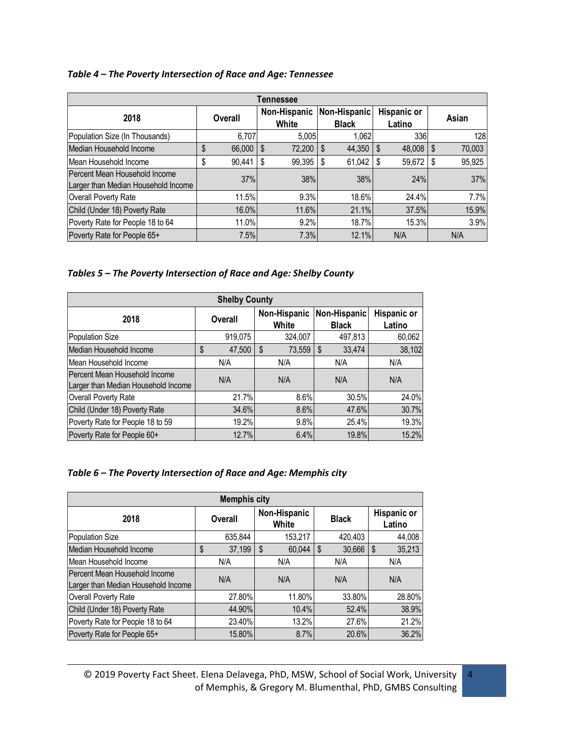#### *Table 4 – The Poverty Intersection of Race and Age: Tennessee*

| Tennessee                                                            |              |                       |                              |                              |              |  |  |  |  |  |
|----------------------------------------------------------------------|--------------|-----------------------|------------------------------|------------------------------|--------------|--|--|--|--|--|
| 2018                                                                 | Overall      | Non-Hispanic<br>White | Non-Hispanic<br><b>Black</b> | <b>Hispanic or</b><br>Latino | Asian        |  |  |  |  |  |
| Population Size (In Thousands)                                       | 6.707        | 5,005                 | 1.062                        | 336                          | 128          |  |  |  |  |  |
| Median Household Income                                              | \$<br>66,000 | \$<br>72,200          | \$<br>44,350                 | 48,008<br>\$                 | \$<br>70,003 |  |  |  |  |  |
| Mean Household Income                                                | \$<br>90,441 | 99,395<br>S           | 61,042<br>- \$               | 59,672<br>\$                 | 95,925<br>S  |  |  |  |  |  |
| Percent Mean Household Income<br>Larger than Median Household Income | 37%          | 38%                   | 38%                          | 24%                          | 37%          |  |  |  |  |  |
| Overall Poverty Rate                                                 | 11.5%        | 9.3%                  | 18.6%                        | 24.4%                        | 7.7%         |  |  |  |  |  |
| Child (Under 18) Poverty Rate                                        | 16.0%        | 11.6%                 | 21.1%                        | 37.5%                        | 15.9%        |  |  |  |  |  |
| Poverty Rate for People 18 to 64                                     | 11.0%        | 9.2%                  | 18.7%                        | 15.3%                        | 3.9%         |  |  |  |  |  |
| Poverty Rate for People 65+                                          | 7.5%         | 7.3%                  | 12.1%                        | N/A                          | N/A          |  |  |  |  |  |

*Tables 5 – The Poverty Intersection of Race and Age: Shelby County*

| <b>Shelby County</b>                                                 |                |                                       |              |                              |  |  |  |  |  |
|----------------------------------------------------------------------|----------------|---------------------------------------|--------------|------------------------------|--|--|--|--|--|
| 2018                                                                 | <b>Overall</b> | Non-Hispanic<br>Non-Hispanic<br>White |              | <b>Hispanic or</b><br>Latino |  |  |  |  |  |
| Population Size                                                      | 919,075        | 324,007                               | 497,813      | 60,062                       |  |  |  |  |  |
| Median Household Income                                              | \$<br>47,500   | 73,559<br>S                           | 33,474<br>\$ | 38,102                       |  |  |  |  |  |
| Mean Household Income                                                | N/A            | N/A                                   | N/A          | N/A                          |  |  |  |  |  |
| Percent Mean Household Income<br>Larger than Median Household Income | N/A            | N/A                                   | N/A          | N/A                          |  |  |  |  |  |
| Overall Poverty Rate                                                 | 21.7%          | 8.6%                                  | 30.5%        | 24.0%                        |  |  |  |  |  |
| Child (Under 18) Poverty Rate                                        | 34.6%          | 8.6%                                  | 47.6%        | 30.7%                        |  |  |  |  |  |
| Poverty Rate for People 18 to 59                                     | 19.2%          | 9.8%                                  | 25.4%        | 19.3%                        |  |  |  |  |  |
| Poverty Rate for People 60+                                          | 12.7%          | 6.4%                                  | 19.8%        | 15.2%                        |  |  |  |  |  |

| <b>Memphis city</b>                                                  |    |         |   |                       |    |              |     |                              |  |
|----------------------------------------------------------------------|----|---------|---|-----------------------|----|--------------|-----|------------------------------|--|
| 2018                                                                 |    | Overall |   | Non-Hispanic<br>White |    | <b>Black</b> |     | <b>Hispanic or</b><br>Latino |  |
| Population Size                                                      |    | 635,844 |   | 153,217               |    | 420,403      |     | 44,008                       |  |
| Median Household Income                                              | \$ | 37,199  | S | 60.044                | \$ | 30,666       | \$  | 35,213                       |  |
| Mean Household Income                                                |    | N/A     |   | N/A                   |    | N/A          |     | N/A                          |  |
| Percent Mean Household Income<br>Larger than Median Household Income |    | N/A     |   | N/A                   |    | N/A          | N/A |                              |  |
| Overall Poverty Rate                                                 |    | 27.80%  |   | 11.80%                |    | 33.80%       |     | 28.80%                       |  |
| Child (Under 18) Poverty Rate                                        |    | 44.90%  |   | 10.4%                 |    | 52.4%        |     | 38.9%                        |  |
| Poverty Rate for People 18 to 64                                     |    | 23.40%  |   | 13.2%                 |    | 27.6%        |     | 21.2%                        |  |
| Poverty Rate for People 65+                                          |    | 15.80%  |   | 8.7%                  |    | 20.6%        |     | 36.2%                        |  |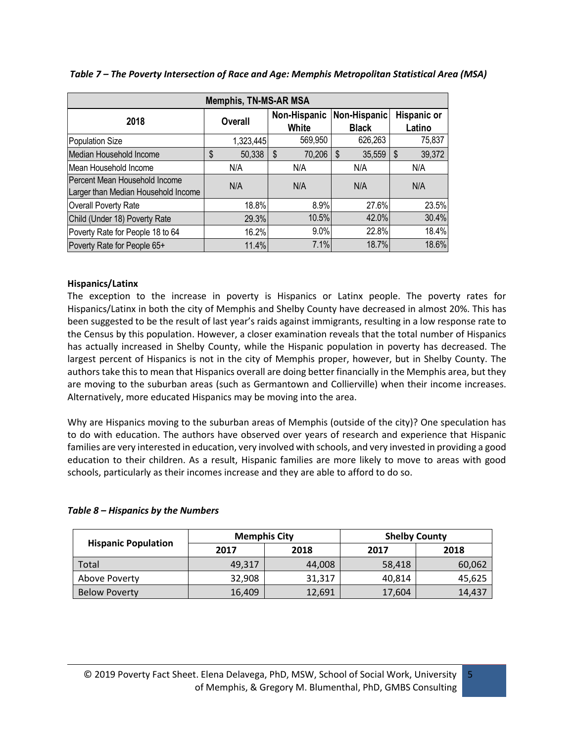| <b>Memphis, TN-MS-AR MSA</b>                                         |              |                       |                              |                              |  |  |  |  |  |
|----------------------------------------------------------------------|--------------|-----------------------|------------------------------|------------------------------|--|--|--|--|--|
| 2018                                                                 | Overall      | Non-Hispanic<br>White | Non-Hispanic<br><b>Black</b> | <b>Hispanic or</b><br>Latino |  |  |  |  |  |
| Population Size                                                      | 1,323,445    | 569,950               | 626,263                      | 75,837                       |  |  |  |  |  |
| Median Household Income                                              | \$<br>50,338 | 70,206<br>\$          | 35,559<br>\$                 | 39,372<br>\$                 |  |  |  |  |  |
| Mean Household Income                                                | N/A          | N/A                   | N/A                          | N/A                          |  |  |  |  |  |
| Percent Mean Household Income<br>Larger than Median Household Income | N/A          | N/A                   | N/A                          | N/A                          |  |  |  |  |  |
| Overall Poverty Rate                                                 | 18.8%        | 8.9%                  | 27.6%                        | 23.5%                        |  |  |  |  |  |
| Child (Under 18) Poverty Rate                                        | 29.3%        | 10.5%                 | 42.0%                        | 30.4%                        |  |  |  |  |  |
| Poverty Rate for People 18 to 64                                     | 16.2%        | $9.0\%$               | 22.8%                        | 18.4%                        |  |  |  |  |  |
| Poverty Rate for People 65+                                          | 11.4%        | 7.1%                  | 18.7%                        | 18.6%                        |  |  |  |  |  |

*Table 7 – The Poverty Intersection of Race and Age: Memphis Metropolitan Statistical Area (MSA)*

#### **Hispanics/Latinx**

The exception to the increase in poverty is Hispanics or Latinx people. The poverty rates for Hispanics/Latinx in both the city of Memphis and Shelby County have decreased in almost 20%. This has been suggested to be the result of last year's raids against immigrants, resulting in a low response rate to the Census by this population. However, a closer examination reveals that the total number of Hispanics has actually increased in Shelby County, while the Hispanic population in poverty has decreased. The largest percent of Hispanics is not in the city of Memphis proper, however, but in Shelby County. The authors take this to mean that Hispanics overall are doing better financially in the Memphis area, but they are moving to the suburban areas (such as Germantown and Collierville) when their income increases. Alternatively, more educated Hispanics may be moving into the area.

Why are Hispanics moving to the suburban areas of Memphis (outside of the city)? One speculation has to do with education. The authors have observed over years of research and experience that Hispanic families are very interested in education, very involved with schools, and very invested in providing a good education to their children. As a result, Hispanic families are more likely to move to areas with good schools, particularly as their incomes increase and they are able to afford to do so.

#### *Table 8 – Hispanics by the Numbers*

|                            | <b>Memphis City</b> |        | <b>Shelby County</b> |        |  |  |
|----------------------------|---------------------|--------|----------------------|--------|--|--|
| <b>Hispanic Population</b> | 2017                | 2018   | 2017                 | 2018   |  |  |
| Total                      | 49,317              | 44,008 | 58,418               | 60,062 |  |  |
| Above Poverty              | 32,908              | 31,317 | 40.814               | 45,625 |  |  |
| <b>Below Poverty</b>       | 16,409              | 12,691 | 17,604               | 14,437 |  |  |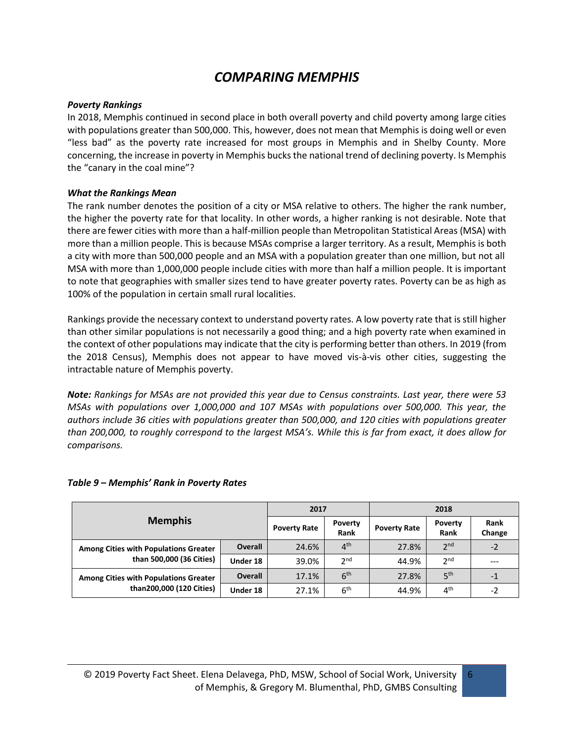## *COMPARING MEMPHIS*

#### *Poverty Rankings*

In 2018, Memphis continued in second place in both overall poverty and child poverty among large cities with populations greater than 500,000. This, however, does not mean that Memphis is doing well or even "less bad" as the poverty rate increased for most groups in Memphis and in Shelby County. More concerning, the increase in poverty in Memphis bucks the national trend of declining poverty. Is Memphis the "canary in the coal mine"?

#### *What the Rankings Mean*

The rank number denotes the position of a city or MSA relative to others. The higher the rank number, the higher the poverty rate for that locality. In other words, a higher ranking is not desirable. Note that there are fewer cities with more than a half-million people than Metropolitan Statistical Areas (MSA) with more than a million people. This is because MSAs comprise a larger territory. As a result, Memphis is both a city with more than 500,000 people and an MSA with a population greater than one million, but not all MSA with more than 1,000,000 people include cities with more than half a million people. It is important to note that geographies with smaller sizes tend to have greater poverty rates. Poverty can be as high as 100% of the population in certain small rural localities.

Rankings provide the necessary context to understand poverty rates. A low poverty rate that is still higher than other similar populations is not necessarily a good thing; and a high poverty rate when examined in the context of other populations may indicate that the city is performing better than others. In 2019 (from the 2018 Census), Memphis does not appear to have moved vis-à-vis other cities, suggesting the intractable nature of Memphis poverty.

*Note: Rankings for MSAs are not provided this year due to Census constraints. Last year, there were 53 MSAs with populations over 1,000,000 and 107 MSAs with populations over 500,000. This year, the authors include 36 cities with populations greater than 500,000, and 120 cities with populations greater than 200,000, to roughly correspond to the largest MSA's. While this is far from exact, it does allow for comparisons.* 

|                                              | 2017                |                        |                     | 2018            |                       |      |
|----------------------------------------------|---------------------|------------------------|---------------------|-----------------|-----------------------|------|
| <b>Memphis</b>                               | <b>Poverty Rate</b> | <b>Poverty</b><br>Rank | <b>Poverty Rate</b> | Poverty<br>Rank | <b>Rank</b><br>Change |      |
| <b>Among Cities with Populations Greater</b> | <b>Overall</b>      | 24.6%                  | 4 <sup>th</sup>     | 27.8%           | 2 <sub>nd</sub>       | $-2$ |
| than 500,000 (36 Cities)                     | Under 18            | 39.0%                  | 2 <sup>nd</sup>     | 44.9%           | 2 <sup>nd</sup>       |      |
| <b>Among Cities with Populations Greater</b> | <b>Overall</b>      | 17.1%                  | 6 <sup>th</sup>     | 27.8%           | 5 <sup>th</sup>       | - 1  |
| than200,000 (120 Cities)                     | Under 18            | 27.1%                  | 6 <sup>th</sup>     | 44.9%           | 4 <sup>th</sup>       | -2   |

#### *Table 9 – Memphis' Rank in Poverty Rates*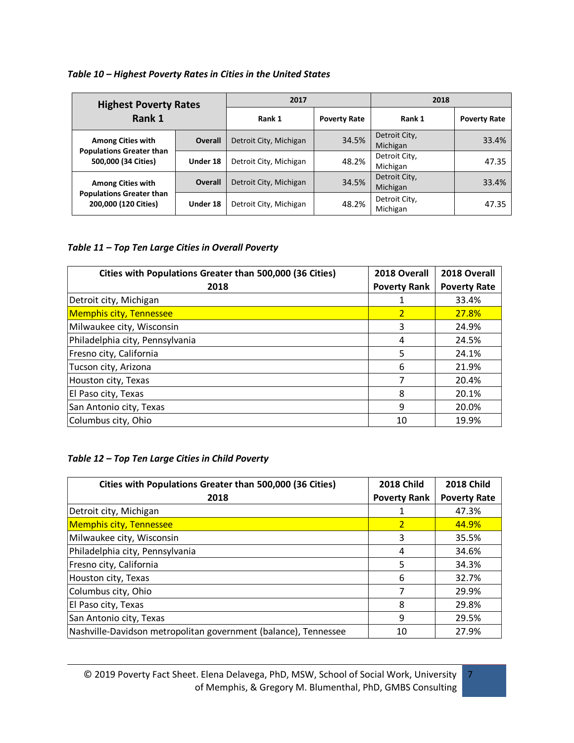#### *Table 10 – Highest Poverty Rates in Cities in the United States*

| <b>Highest Poverty Rates</b><br>Rank 1                  |                | 2017                   |                     | 2018                      |                     |
|---------------------------------------------------------|----------------|------------------------|---------------------|---------------------------|---------------------|
|                                                         |                | Rank 1                 | <b>Poverty Rate</b> | Rank 1                    | <b>Poverty Rate</b> |
| <b>Among Cities with</b>                                | <b>Overall</b> | Detroit City, Michigan | 34.5%               | Detroit City,<br>Michigan | 33.4%               |
| <b>Populations Greater than</b><br>500,000 (34 Cities)  | Under 18       | Detroit City, Michigan | 48.2%               | Detroit City,<br>Michigan | 47.35               |
| <b>Among Cities with</b>                                | <b>Overall</b> | Detroit City, Michigan | 34.5%               | Detroit City,<br>Michigan | 33.4%               |
| <b>Populations Greater than</b><br>200,000 (120 Cities) | Under 18       | Detroit City, Michigan | 48.2%               | Detroit City,<br>Michigan | 47.35               |

#### *Table 11 – Top Ten Large Cities in Overall Poverty*

| Cities with Populations Greater than 500,000 (36 Cities) | 2018 Overall<br>2018 Overall |                     |  |
|----------------------------------------------------------|------------------------------|---------------------|--|
| 2018                                                     | <b>Poverty Rank</b>          | <b>Poverty Rate</b> |  |
| Detroit city, Michigan                                   |                              | 33.4%               |  |
| <b>Memphis city, Tennessee</b>                           | $\overline{2}$               | <b>27.8%</b>        |  |
| Milwaukee city, Wisconsin                                | 3                            | 24.9%               |  |
| Philadelphia city, Pennsylvania                          | 4                            | 24.5%               |  |
| Fresno city, California                                  | 5                            | 24.1%               |  |
| Tucson city, Arizona                                     | 6                            | 21.9%               |  |
| Houston city, Texas                                      | 7                            | 20.4%               |  |
| El Paso city, Texas                                      | 8                            | 20.1%               |  |
| San Antonio city, Texas                                  | 9                            | 20.0%               |  |
| Columbus city, Ohio                                      | 10                           | 19.9%               |  |

#### *Table 12 – Top Ten Large Cities in Child Poverty*

| Cities with Populations Greater than 500,000 (36 Cities)        | <b>2018 Child</b>   | <b>2018 Child</b>   |
|-----------------------------------------------------------------|---------------------|---------------------|
| 2018                                                            | <b>Poverty Rank</b> | <b>Poverty Rate</b> |
| Detroit city, Michigan                                          |                     | 47.3%               |
| <b>Memphis city, Tennessee</b>                                  | $\overline{2}$      | 44.9%               |
| Milwaukee city, Wisconsin                                       | 3                   | 35.5%               |
| Philadelphia city, Pennsylvania                                 | 4                   | 34.6%               |
| Fresno city, California                                         | 5                   | 34.3%               |
| Houston city, Texas                                             | 6                   | 32.7%               |
| Columbus city, Ohio                                             | 7                   | 29.9%               |
| El Paso city, Texas                                             | 8                   | 29.8%               |
| San Antonio city, Texas                                         | 9                   | 29.5%               |
| Nashville-Davidson metropolitan government (balance), Tennessee | 10                  | 27.9%               |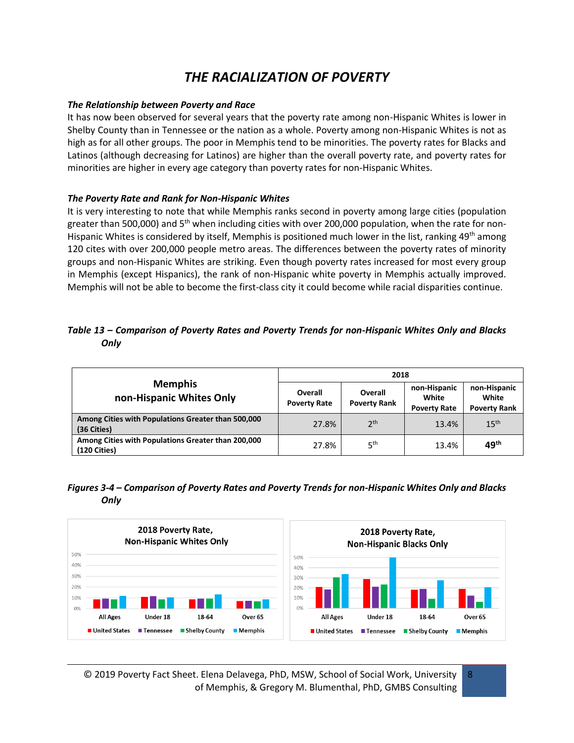## *THE RACIALIZATION OF POVERTY*

#### *The Relationship between Poverty and Race*

It has now been observed for several years that the poverty rate among non-Hispanic Whites is lower in Shelby County than in Tennessee or the nation as a whole. Poverty among non-Hispanic Whites is not as high as for all other groups. The poor in Memphis tend to be minorities. The poverty rates for Blacks and Latinos (although decreasing for Latinos) are higher than the overall poverty rate, and poverty rates for minorities are higher in every age category than poverty rates for non-Hispanic Whites.

#### *The Poverty Rate and Rank for Non-Hispanic Whites*

It is very interesting to note that while Memphis ranks second in poverty among large cities (population greater than 500,000) and  $5<sup>th</sup>$  when including cities with over 200,000 population, when the rate for non-Hispanic Whites is considered by itself, Memphis is positioned much lower in the list, ranking 49<sup>th</sup> among 120 cites with over 200,000 people metro areas. The differences between the poverty rates of minority groups and non-Hispanic Whites are striking. Even though poverty rates increased for most every group in Memphis (except Hispanics), the rank of non-Hispanic white poverty in Memphis actually improved. Memphis will not be able to become the first-class city it could become while racial disparities continue.

#### *Table 13 – Comparison of Poverty Rates and Poverty Trends for non-Hispanic Whites Only and Blacks Only*

|                                                                    | 2018                           |                                |                                              |                                              |  |
|--------------------------------------------------------------------|--------------------------------|--------------------------------|----------------------------------------------|----------------------------------------------|--|
| <b>Memphis</b><br>non-Hispanic Whites Only                         | Overall<br><b>Poverty Rate</b> | Overall<br><b>Poverty Rank</b> | non-Hispanic<br>White<br><b>Poverty Rate</b> | non-Hispanic<br>White<br><b>Poverty Rank</b> |  |
| Among Cities with Populations Greater than 500,000<br>(36 Cities)  | 27.8%                          | 2 <sup>th</sup>                | 13.4%                                        | 15 <sup>th</sup>                             |  |
| Among Cities with Populations Greater than 200,000<br>(120 Cities) | 27.8%                          | 5 <sup>th</sup>                | 13.4%                                        | 49 <sup>th</sup>                             |  |

#### *Figures 3-4 – Comparison of Poverty Rates and Poverty Trends for non-Hispanic Whites Only and Blacks Only*



© 2019 Poverty Fact Sheet. Elena Delavega, PhD, MSW, School of Social Work, University of Memphis, & Gregory M. Blumenthal, PhD, GMBS Consulting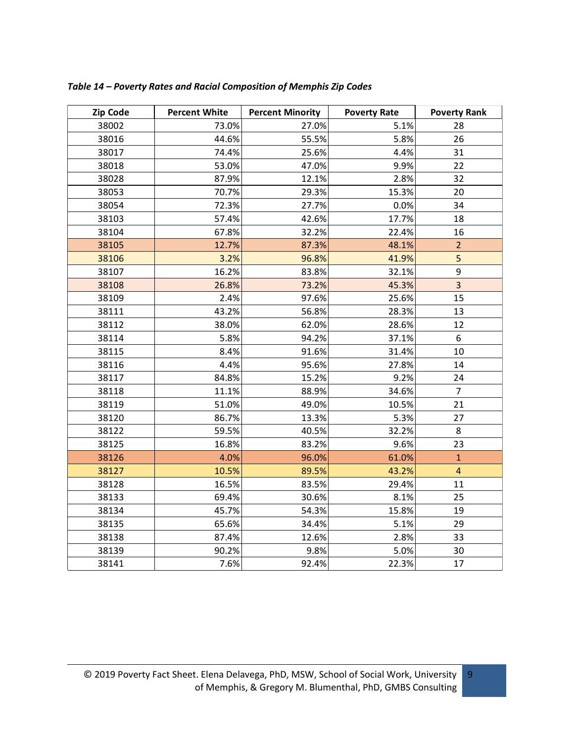| Zip Code | <b>Percent White</b> | <b>Percent Minority</b> | <b>Poverty Rate</b> | <b>Poverty Rank</b> |
|----------|----------------------|-------------------------|---------------------|---------------------|
| 38002    | 73.0%                | 27.0%                   | 5.1%                | 28                  |
| 38016    | 44.6%                | 55.5%                   | 5.8%                | 26                  |
| 38017    | 74.4%                | 25.6%                   | 4.4%                | 31                  |
| 38018    | 53.0%                | 47.0%                   | 9.9%                | 22                  |
| 38028    | 87.9%                | 12.1%                   | 2.8%                | 32                  |
| 38053    | 70.7%                | 29.3%                   | 15.3%               | 20                  |
| 38054    | 72.3%                | 27.7%                   | 0.0%                | 34                  |
| 38103    | 57.4%                | 42.6%                   | 17.7%               | 18                  |
| 38104    | 67.8%                | 32.2%                   | 22.4%               | 16                  |
| 38105    | 12.7%                | 87.3%                   | 48.1%               | $\overline{2}$      |
| 38106    | 3.2%                 | 96.8%                   | 41.9%               | 5                   |
| 38107    | 16.2%                | 83.8%                   | 32.1%               | 9                   |
| 38108    | 26.8%                | 73.2%                   | 45.3%               | $\overline{3}$      |
| 38109    | 2.4%                 | 97.6%                   | 25.6%               | 15                  |
| 38111    | 43.2%                | 56.8%                   | 28.3%               | 13                  |
| 38112    | 38.0%                | 62.0%                   | 28.6%               | 12                  |
| 38114    | 5.8%                 | 94.2%                   | 37.1%               | 6                   |
| 38115    | 8.4%                 | 91.6%                   | 31.4%               | 10                  |
| 38116    | 4.4%                 | 95.6%                   | 27.8%               | 14                  |
| 38117    | 84.8%                | 15.2%                   | 9.2%                | 24                  |
| 38118    | 11.1%                | 88.9%                   | 34.6%               | $\overline{7}$      |
| 38119    | 51.0%                | 49.0%                   | 10.5%               | 21                  |
| 38120    | 86.7%                | 13.3%                   | 5.3%                | 27                  |
| 38122    | 59.5%                | 40.5%                   | 32.2%               | 8                   |
| 38125    | 16.8%                | 83.2%                   | 9.6%                | 23                  |
| 38126    | 4.0%                 | 96.0%                   | 61.0%               | $\overline{1}$      |
| 38127    | 10.5%                | 89.5%                   | 43.2%               | $\overline{a}$      |
| 38128    | 16.5%                | 83.5%                   | 29.4%               | $11\,$              |
| 38133    | 69.4%                | 30.6%                   | 8.1%                | 25                  |
| 38134    | 45.7%                | 54.3%                   | 15.8%               | 19                  |
| 38135    | 65.6%                | 34.4%                   | 5.1%                | 29                  |
| 38138    | 87.4%                | 12.6%                   | 2.8%                | 33                  |
| 38139    | 90.2%                | 9.8%                    | 5.0%                | 30                  |
| 38141    | 7.6%                 | 92.4%                   | 22.3%               | 17                  |

*Table 14 – Poverty Rates and Racial Composition of Memphis Zip Codes*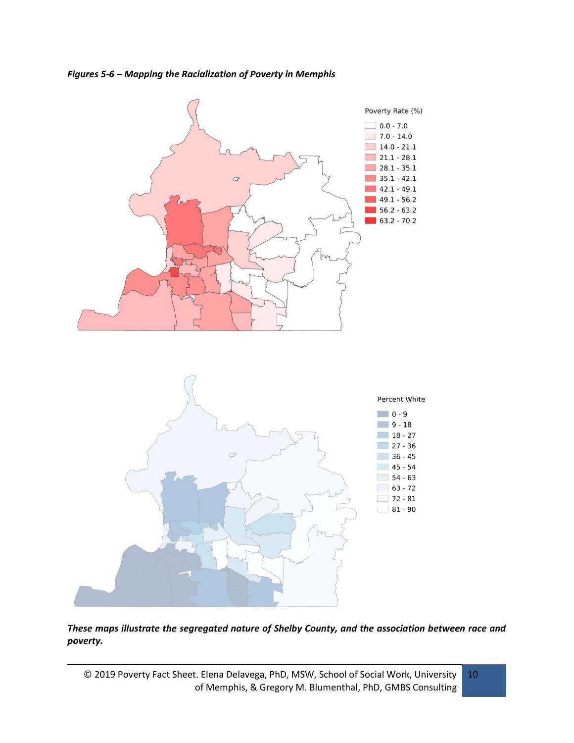*Figures 5-6 – Mapping the Racialization of Poverty in Memphis*



*These maps illustrate the segregated nature of Shelby County, and the association between race and poverty.* 

© 2019 Poverty Fact Sheet. Elena Delavega, PhD, MSW, School of Social Work, University of Memphis, & Gregory M. Blumenthal, PhD, GMBS Consulting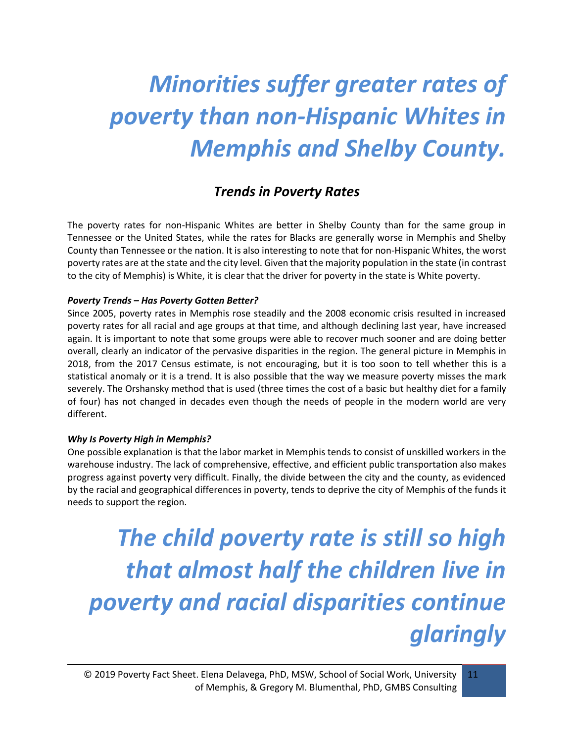## *Minorities suffer greater rates of poverty than non-Hispanic Whites in Memphis and Shelby County.*

### *Trends in Poverty Rates*

The poverty rates for non-Hispanic Whites are better in Shelby County than for the same group in Tennessee or the United States, while the rates for Blacks are generally worse in Memphis and Shelby County than Tennessee or the nation. It is also interesting to note that for non-Hispanic Whites, the worst poverty rates are at the state and the city level. Given that the majority population in the state (in contrast to the city of Memphis) is White, it is clear that the driver for poverty in the state is White poverty.

#### *Poverty Trends – Has Poverty Gotten Better?*

Since 2005, poverty rates in Memphis rose steadily and the 2008 economic crisis resulted in increased poverty rates for all racial and age groups at that time, and although declining last year, have increased again. It is important to note that some groups were able to recover much sooner and are doing better overall, clearly an indicator of the pervasive disparities in the region. The general picture in Memphis in 2018, from the 2017 Census estimate, is not encouraging, but it is too soon to tell whether this is a statistical anomaly or it is a trend. It is also possible that the way we measure poverty misses the mark severely. The Orshansky method that is used (three times the cost of a basic but healthy diet for a family of four) has not changed in decades even though the needs of people in the modern world are very different.

#### *Why Is Poverty High in Memphis?*

One possible explanation is that the labor market in Memphis tends to consist of unskilled workers in the warehouse industry. The lack of comprehensive, effective, and efficient public transportation also makes progress against poverty very difficult. Finally, the divide between the city and the county, as evidenced by the racial and geographical differences in poverty, tends to deprive the city of Memphis of the funds it needs to support the region.

*The child poverty rate is still so high that almost half the children live in poverty and racial disparities continue glaringly*

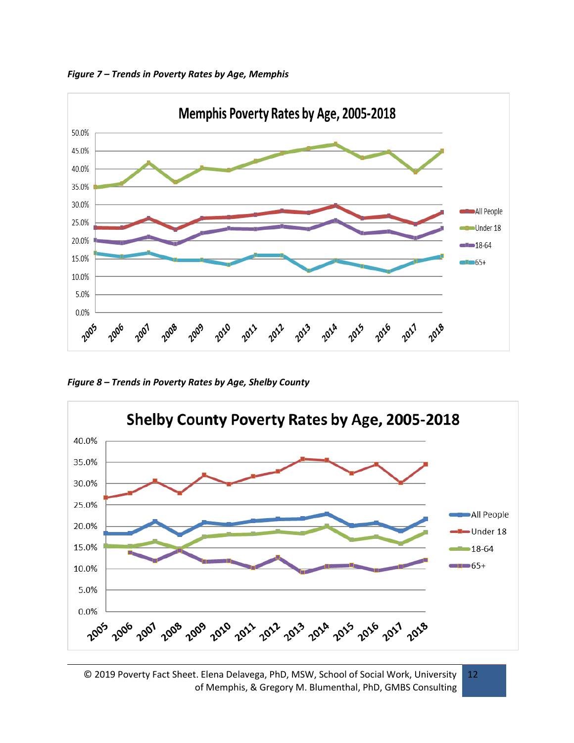



*Figure 8 – Trends in Poverty Rates by Age, Shelby County*



<sup>© 2019</sup> Poverty Fact Sheet. Elena Delavega, PhD, MSW, School of Social Work, University of Memphis, & Gregory M. Blumenthal, PhD, GMBS Consulting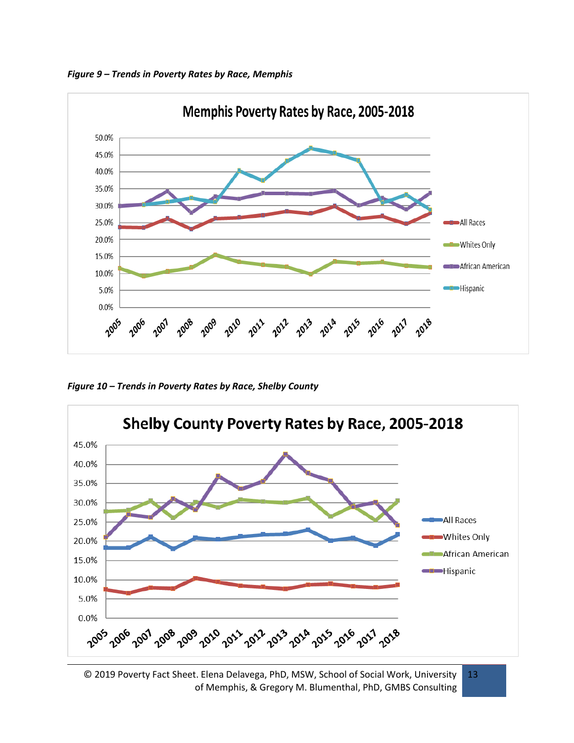*Figure 9 – Trends in Poverty Rates by Race, Memphis*



*Figure 10 – Trends in Poverty Rates by Race, Shelby County*



© 2019 Poverty Fact Sheet. Elena Delavega, PhD, MSW, School of Social Work, University of Memphis, & Gregory M. Blumenthal, PhD, GMBS Consulting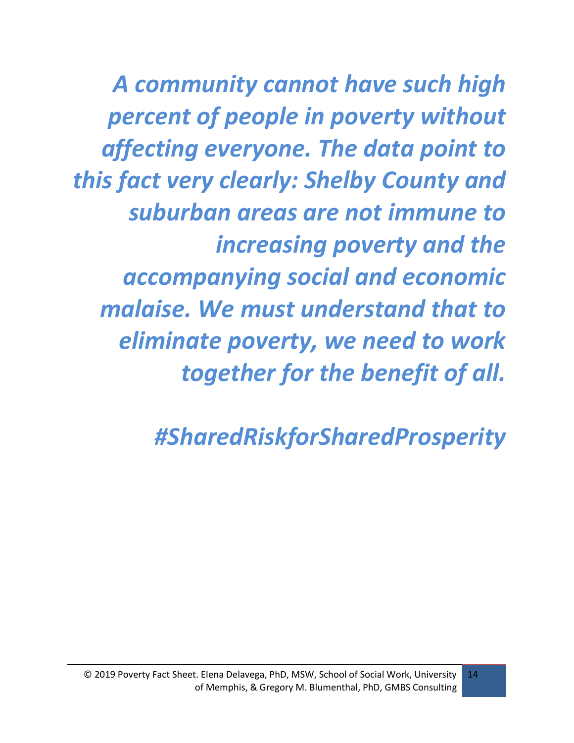*A community cannot have such high percent of people in poverty without affecting everyone. The data point to this fact very clearly: Shelby County and suburban areas are not immune to increasing poverty and the accompanying social and economic malaise. We must understand that to eliminate poverty, we need to work together for the benefit of all.*

*#SharedRiskforSharedProsperity*